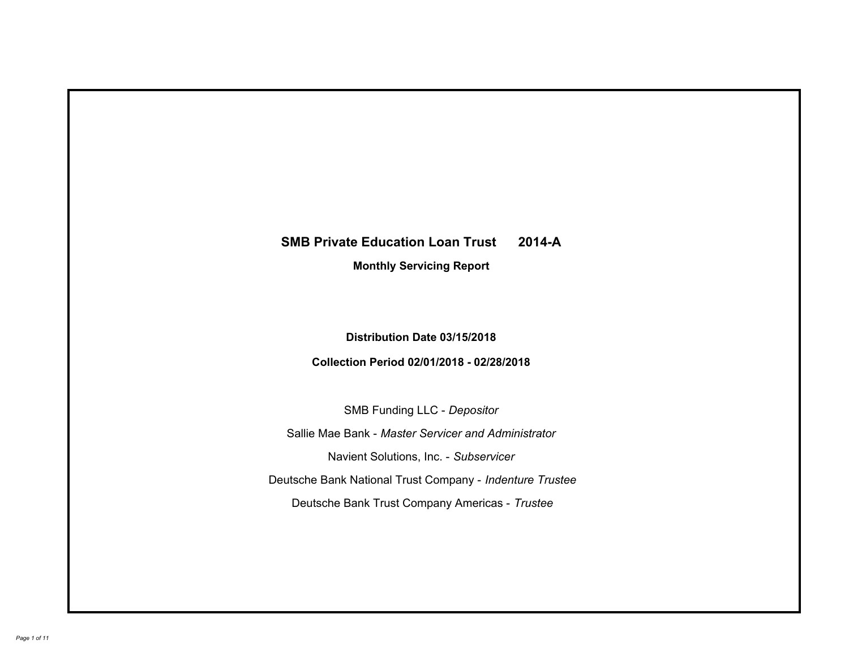# **SMB Private Education Loan Trust 2014-A Monthly Servicing Report**

# **Distribution Date 03/15/2018**

# **Collection Period 02/01/2018 - 02/28/2018**

SMB Funding LLC - *Depositor*

Sallie Mae Bank - *Master Servicer and Administrator*

Navient Solutions, Inc. - *Subservicer*

Deutsche Bank National Trust Company - *Indenture Trustee*

Deutsche Bank Trust Company Americas - *Trustee*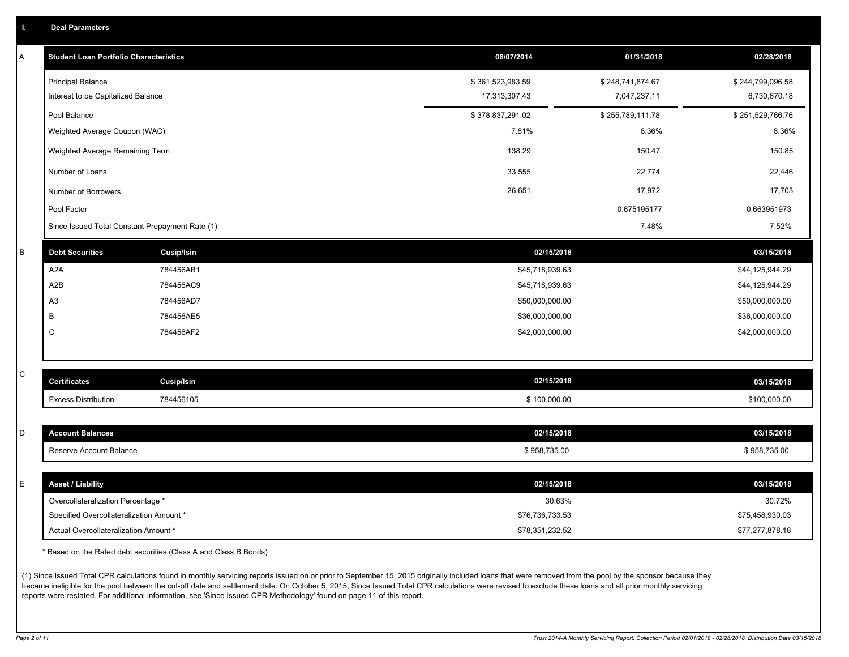|  |  |  |  | <b>Deal Parameters</b> |  |
|--|--|--|--|------------------------|--|
|--|--|--|--|------------------------|--|

| A | <b>Student Loan Portfolio Characteristics</b>   |                   | 08/07/2014       | 01/31/2018       | 02/28/2018       |
|---|-------------------------------------------------|-------------------|------------------|------------------|------------------|
|   | <b>Principal Balance</b>                        |                   | \$361,523,983.59 | \$248,741,874.67 | \$244,799,096.58 |
|   | Interest to be Capitalized Balance              |                   | 17,313,307.43    | 7,047,237.11     | 6,730,670.18     |
|   | Pool Balance                                    |                   | \$378,837,291.02 | \$255,789,111.78 | \$251,529,766.76 |
|   | Weighted Average Coupon (WAC)                   |                   | 7.81%            | 8.36%            | 8.36%            |
|   | Weighted Average Remaining Term                 |                   | 138.29           | 150.47           | 150.85           |
|   | Number of Loans                                 |                   | 33,555           | 22,774           | 22,446           |
|   | Number of Borrowers                             |                   | 26,651           | 17,972           | 17,703           |
|   | Pool Factor                                     |                   |                  | 0.675195177      | 0.663951973      |
|   | Since Issued Total Constant Prepayment Rate (1) |                   |                  | 7.48%            | 7.52%            |
| B | <b>Debt Securities</b>                          | <b>Cusip/Isin</b> | 02/15/2018       |                  | 03/15/2018       |
|   | A <sub>2</sub> A                                | 784456AB1         | \$45,718,939.63  |                  | \$44,125,944.29  |
|   | A <sub>2</sub> B                                | 784456AC9         | \$45,718,939.63  |                  | \$44,125,944.29  |
|   | A <sub>3</sub>                                  | 784456AD7         | \$50,000,000.00  |                  | \$50,000,000.00  |
|   | B                                               | 784456AE5         | \$36,000,000.00  |                  | \$36,000,000.00  |
|   | C                                               | 784456AF2         | \$42,000,000.00  |                  | \$42,000,000.00  |
|   |                                                 |                   |                  |                  |                  |
| C | <b>Certificates</b>                             | <b>Cusip/Isin</b> | 02/15/2018       |                  | 03/15/2018       |
|   | <b>Excess Distribution</b>                      | 784456105         | \$100,000.00     |                  | \$100,000.00     |
|   |                                                 |                   |                  |                  |                  |
| D | <b>Account Balances</b>                         |                   | 02/15/2018       |                  | 03/15/2018       |
|   | Reserve Account Balance                         |                   | \$958,735.00     |                  | \$958,735.00     |
|   |                                                 |                   |                  |                  |                  |
| E | <b>Asset / Liability</b>                        |                   | 02/15/2018       |                  | 03/15/2018       |
|   | Overcollateralization Percentage *              |                   | 30.63%           |                  | 30.72%           |
|   | Specified Overcollateralization Amount *        |                   | \$76,736,733.53  |                  | \$75,458,930.03  |
|   | Actual Overcollateralization Amount *           |                   | \$78,351,232.52  |                  | \$77,277,878.18  |

\* Based on the Rated debt securities (Class A and Class B Bonds)

(1) Since Issued Total CPR calculations found in monthly servicing reports issued on or prior to September 15, 2015 originally included loans that were removed from the pool by the sponsor because they became ineligible for the pool between the cut-off date and settlement date. On October 5, 2015, Since Issued Total CPR calculations were revised to exclude these loans and all prior monthly servicing reports were restated. For additional information, see 'Since Issued CPR Methodology' found on page 11 of this report.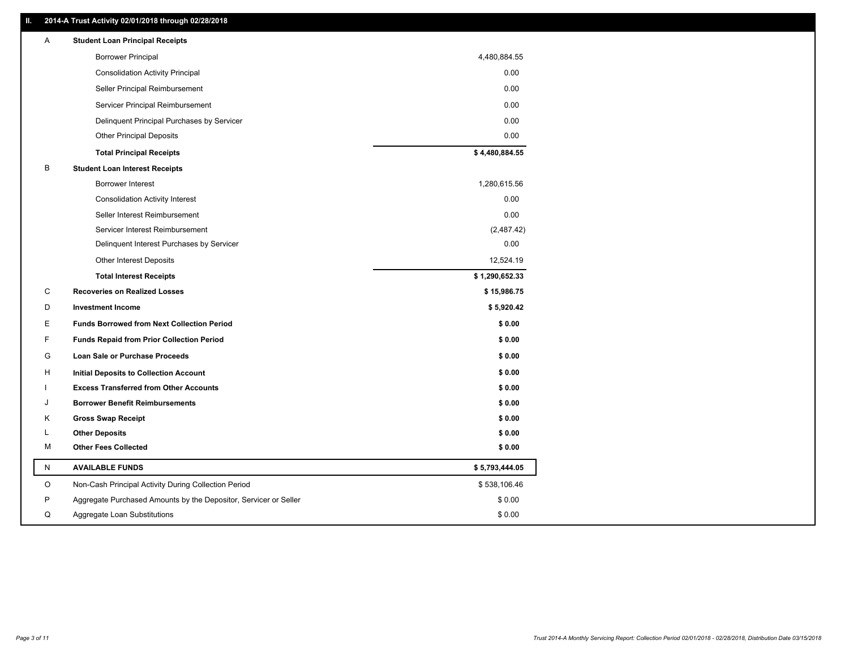## **II. 2014-A Trust Activity 02/01/2018 through 02/28/2018**

| Α | <b>Student Loan Principal Receipts</b>                           |                |
|---|------------------------------------------------------------------|----------------|
|   | <b>Borrower Principal</b>                                        | 4,480,884.55   |
|   | <b>Consolidation Activity Principal</b>                          | 0.00           |
|   | Seller Principal Reimbursement                                   | 0.00           |
|   | Servicer Principal Reimbursement                                 | 0.00           |
|   | Delinquent Principal Purchases by Servicer                       | 0.00           |
|   | <b>Other Principal Deposits</b>                                  | 0.00           |
|   | <b>Total Principal Receipts</b>                                  | \$4,480,884.55 |
| B | <b>Student Loan Interest Receipts</b>                            |                |
|   | <b>Borrower Interest</b>                                         | 1,280,615.56   |
|   | <b>Consolidation Activity Interest</b>                           | 0.00           |
|   | Seller Interest Reimbursement                                    | 0.00           |
|   | Servicer Interest Reimbursement                                  | (2,487.42)     |
|   | Delinquent Interest Purchases by Servicer                        | 0.00           |
|   | Other Interest Deposits                                          | 12,524.19      |
|   | <b>Total Interest Receipts</b>                                   | \$1,290,652.33 |
| C | <b>Recoveries on Realized Losses</b>                             | \$15,986.75    |
| D | <b>Investment Income</b>                                         | \$5,920.42     |
| Е | <b>Funds Borrowed from Next Collection Period</b>                | \$0.00         |
| F | <b>Funds Repaid from Prior Collection Period</b>                 | \$0.00         |
| G | <b>Loan Sale or Purchase Proceeds</b>                            | \$0.00         |
| н | Initial Deposits to Collection Account                           | \$0.00         |
|   | <b>Excess Transferred from Other Accounts</b>                    | \$0.00         |
| J | <b>Borrower Benefit Reimbursements</b>                           | \$0.00         |
| Κ | <b>Gross Swap Receipt</b>                                        | \$0.00         |
| L | <b>Other Deposits</b>                                            | \$0.00         |
| М | <b>Other Fees Collected</b>                                      | \$0.00         |
| N | <b>AVAILABLE FUNDS</b>                                           | \$5,793,444.05 |
| O | Non-Cash Principal Activity During Collection Period             | \$538,106.46   |
| P | Aggregate Purchased Amounts by the Depositor, Servicer or Seller | \$0.00         |
| Q | Aggregate Loan Substitutions                                     | \$0.00         |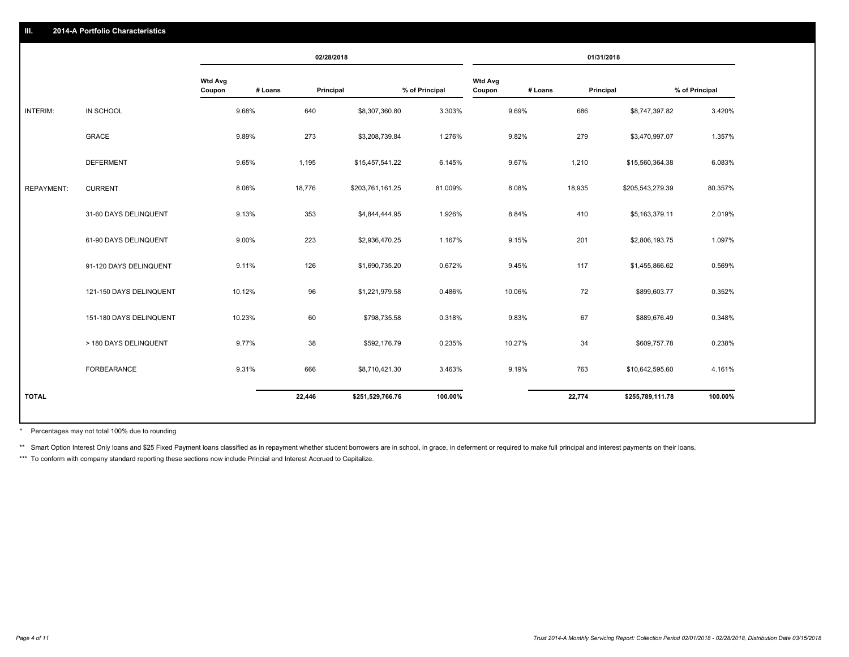#### **III. 2014-A Portfolio Characteristics**

|                   |                         |                          | 02/28/2018           |                  |                | 01/31/2018               |         |           |                  |                |
|-------------------|-------------------------|--------------------------|----------------------|------------------|----------------|--------------------------|---------|-----------|------------------|----------------|
|                   |                         | <b>Wtd Avg</b><br>Coupon | # Loans<br>Principal |                  | % of Principal | <b>Wtd Avg</b><br>Coupon | # Loans | Principal |                  | % of Principal |
| INTERIM:          | <b>IN SCHOOL</b>        | 9.68%                    | 640                  | \$8,307,360.80   | 3.303%         |                          | 9.69%   | 686       | \$8,747,397.82   | 3.420%         |
|                   | <b>GRACE</b>            | 9.89%                    | 273                  | \$3,208,739.84   | 1.276%         |                          | 9.82%   | 279       | \$3,470,997.07   | 1.357%         |
|                   | <b>DEFERMENT</b>        | 9.65%                    | 1,195                | \$15,457,541.22  | 6.145%         |                          | 9.67%   | 1,210     | \$15,560,364.38  | 6.083%         |
| <b>REPAYMENT:</b> | <b>CURRENT</b>          | 8.08%                    | 18,776               | \$203,761,161.25 | 81.009%        |                          | 8.08%   | 18,935    | \$205,543,279.39 | 80.357%        |
|                   | 31-60 DAYS DELINQUENT   | 9.13%                    | 353                  | \$4,844,444.95   | 1.926%         |                          | 8.84%   | 410       | \$5,163,379.11   | 2.019%         |
|                   | 61-90 DAYS DELINQUENT   | 9.00%                    | 223                  | \$2,936,470.25   | 1.167%         |                          | 9.15%   | 201       | \$2,806,193.75   | 1.097%         |
|                   | 91-120 DAYS DELINQUENT  | 9.11%                    | 126                  | \$1,690,735.20   | 0.672%         |                          | 9.45%   | 117       | \$1,455,866.62   | 0.569%         |
|                   | 121-150 DAYS DELINQUENT | 10.12%                   | 96                   | \$1,221,979.58   | 0.486%         |                          | 10.06%  | 72        | \$899,603.77     | 0.352%         |
|                   | 151-180 DAYS DELINQUENT | 10.23%                   | 60                   | \$798,735.58     | 0.318%         |                          | 9.83%   | 67        | \$889,676.49     | 0.348%         |
|                   | > 180 DAYS DELINQUENT   | 9.77%                    | 38                   | \$592,176.79     | 0.235%         |                          | 10.27%  | 34        | \$609,757.78     | 0.238%         |
|                   | FORBEARANCE             | 9.31%                    | 666                  | \$8,710,421.30   | 3.463%         |                          | 9.19%   | 763       | \$10,642,595.60  | 4.161%         |
| <b>TOTAL</b>      |                         |                          | 22,446               | \$251,529,766.76 | 100.00%        |                          |         | 22,774    | \$255,789,111.78 | 100.00%        |

Percentages may not total 100% due to rounding \*

\*\* Smart Option Interest Only loans and \$25 Fixed Payment loans classified as in repayment whether student borrowers are in school, in grace, in deferment or required to make full principal and interest payments on their l

\*\*\* To conform with company standard reporting these sections now include Princial and Interest Accrued to Capitalize.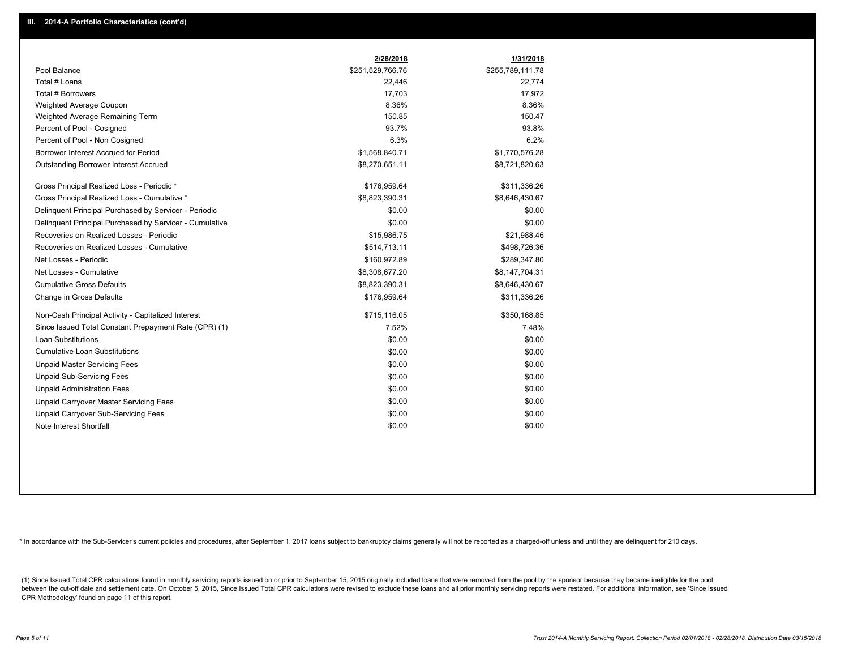|                                                         | 2/28/2018        | 1/31/2018        |
|---------------------------------------------------------|------------------|------------------|
| Pool Balance                                            | \$251,529,766.76 | \$255,789,111.78 |
| Total # Loans                                           | 22,446           | 22,774           |
| Total # Borrowers                                       | 17,703           | 17,972           |
| Weighted Average Coupon                                 | 8.36%            | 8.36%            |
| Weighted Average Remaining Term                         | 150.85           | 150.47           |
| Percent of Pool - Cosigned                              | 93.7%            | 93.8%            |
| Percent of Pool - Non Cosigned                          | 6.3%             | 6.2%             |
| Borrower Interest Accrued for Period                    | \$1,568,840.71   | \$1,770,576.28   |
| <b>Outstanding Borrower Interest Accrued</b>            | \$8,270,651.11   | \$8,721,820.63   |
| Gross Principal Realized Loss - Periodic *              | \$176,959.64     | \$311,336.26     |
| Gross Principal Realized Loss - Cumulative *            | \$8,823,390.31   | \$8,646,430.67   |
| Delinquent Principal Purchased by Servicer - Periodic   | \$0.00           | \$0.00           |
| Delinquent Principal Purchased by Servicer - Cumulative | \$0.00           | \$0.00           |
| Recoveries on Realized Losses - Periodic                | \$15,986.75      | \$21,988.46      |
| Recoveries on Realized Losses - Cumulative              | \$514,713.11     | \$498,726.36     |
| Net Losses - Periodic                                   | \$160,972.89     | \$289,347.80     |
| Net Losses - Cumulative                                 | \$8,308,677.20   | \$8,147,704.31   |
| <b>Cumulative Gross Defaults</b>                        | \$8,823,390.31   | \$8,646,430.67   |
| Change in Gross Defaults                                | \$176,959.64     | \$311,336.26     |
| Non-Cash Principal Activity - Capitalized Interest      | \$715,116.05     | \$350,168.85     |
| Since Issued Total Constant Prepayment Rate (CPR) (1)   | 7.52%            | 7.48%            |
| <b>Loan Substitutions</b>                               | \$0.00           | \$0.00           |
| <b>Cumulative Loan Substitutions</b>                    | \$0.00           | \$0.00           |
| <b>Unpaid Master Servicing Fees</b>                     | \$0.00           | \$0.00           |
| <b>Unpaid Sub-Servicing Fees</b>                        | \$0.00           | \$0.00           |
| <b>Unpaid Administration Fees</b>                       | \$0.00           | \$0.00           |
| Unpaid Carryover Master Servicing Fees                  | \$0.00           | \$0.00           |
| <b>Unpaid Carryover Sub-Servicing Fees</b>              | \$0.00           | \$0.00           |
| Note Interest Shortfall                                 | \$0.00           | \$0.00           |

\* In accordance with the Sub-Servicer's current policies and procedures, after September 1, 2017 loans subject to bankruptcy claims generally will not be reported as a charged-off unless and until they are delinquent for 2

(1) Since Issued Total CPR calculations found in monthly servicing reports issued on or prior to September 15, 2015 originally included loans that were removed from the pool by the sponsor because they became ineligible fo between the cut-off date and settlement date. On October 5, 2015, Since Issued Total CPR calculations were revised to exclude these loans and all prior monthly servicing reports were restated. For additional information, s CPR Methodology' found on page 11 of this report.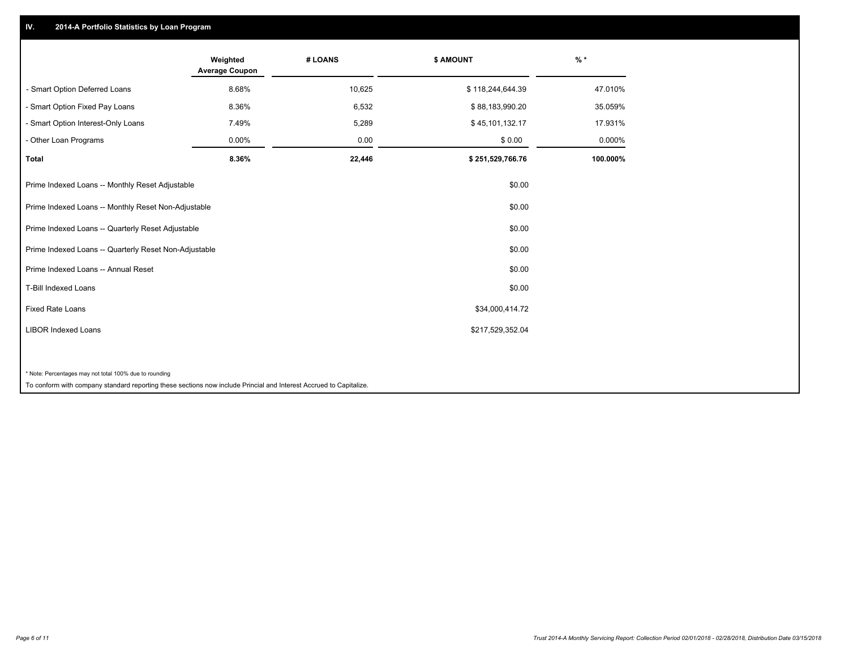## **IV. 2014-A Portfolio Statistics by Loan Program**

|                                                                                                                    | Weighted<br><b>Average Coupon</b> | # LOANS | \$ AMOUNT        | $%$ *    |
|--------------------------------------------------------------------------------------------------------------------|-----------------------------------|---------|------------------|----------|
| - Smart Option Deferred Loans                                                                                      | 8.68%                             | 10,625  | \$118,244,644.39 | 47.010%  |
| - Smart Option Fixed Pay Loans                                                                                     | 8.36%                             | 6,532   | \$88,183,990.20  | 35.059%  |
| - Smart Option Interest-Only Loans                                                                                 | 7.49%                             | 5,289   | \$45,101,132.17  | 17.931%  |
| - Other Loan Programs                                                                                              | 0.00%                             | 0.00    | \$0.00           | 0.000%   |
| <b>Total</b>                                                                                                       | 8.36%                             | 22,446  | \$251,529,766.76 | 100.000% |
| Prime Indexed Loans -- Monthly Reset Adjustable                                                                    |                                   |         | \$0.00           |          |
| Prime Indexed Loans -- Monthly Reset Non-Adjustable                                                                |                                   |         | \$0.00           |          |
| Prime Indexed Loans -- Quarterly Reset Adjustable                                                                  |                                   |         | \$0.00           |          |
| Prime Indexed Loans -- Quarterly Reset Non-Adjustable                                                              |                                   |         | \$0.00           |          |
| Prime Indexed Loans -- Annual Reset                                                                                |                                   |         | \$0.00           |          |
| T-Bill Indexed Loans                                                                                               |                                   |         | \$0.00           |          |
| <b>Fixed Rate Loans</b>                                                                                            |                                   |         | \$34,000,414.72  |          |
| <b>LIBOR Indexed Loans</b>                                                                                         |                                   |         | \$217,529,352.04 |          |
|                                                                                                                    |                                   |         |                  |          |
| * Note: Percentages may not total 100% due to rounding                                                             |                                   |         |                  |          |
| To conform with company standard reporting these sections now include Princial and Interest Accrued to Capitalize. |                                   |         |                  |          |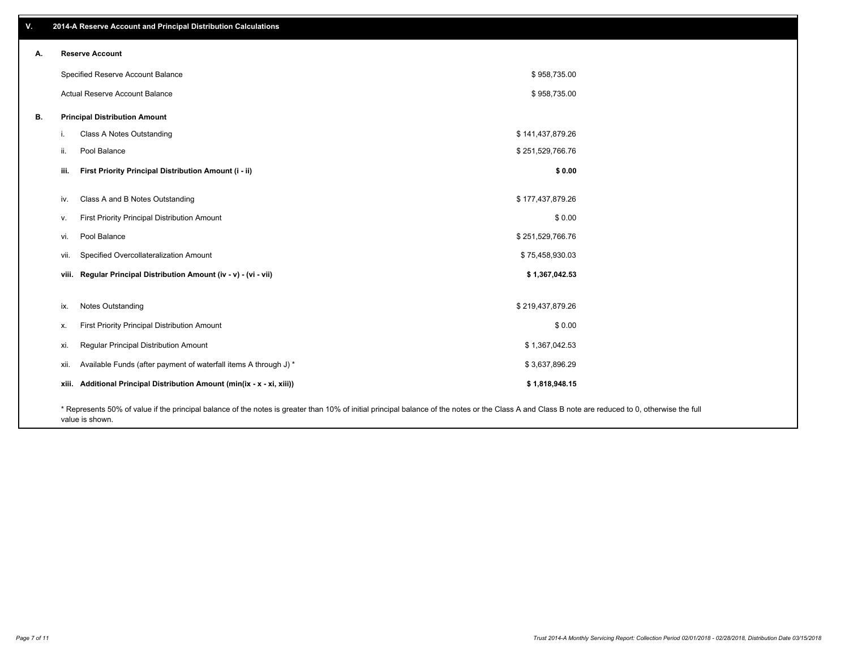| V. | 2014-A Reserve Account and Principal Distribution Calculations                                                                                                                                     |                  |  |
|----|----------------------------------------------------------------------------------------------------------------------------------------------------------------------------------------------------|------------------|--|
| А. | <b>Reserve Account</b>                                                                                                                                                                             |                  |  |
|    | Specified Reserve Account Balance                                                                                                                                                                  | \$958,735.00     |  |
|    | Actual Reserve Account Balance                                                                                                                                                                     | \$958,735.00     |  |
| В. | <b>Principal Distribution Amount</b>                                                                                                                                                               |                  |  |
|    | Class A Notes Outstanding                                                                                                                                                                          | \$141,437,879.26 |  |
|    | Pool Balance<br>ii.                                                                                                                                                                                | \$251,529,766.76 |  |
|    | First Priority Principal Distribution Amount (i - ii)<br>iii.                                                                                                                                      | \$0.00           |  |
|    | Class A and B Notes Outstanding<br>iv.                                                                                                                                                             | \$177,437,879.26 |  |
|    | First Priority Principal Distribution Amount<br>V.                                                                                                                                                 | \$0.00           |  |
|    | Pool Balance<br>vi.                                                                                                                                                                                | \$251,529,766.76 |  |
|    | Specified Overcollateralization Amount<br>vii.                                                                                                                                                     | \$75,458,930.03  |  |
|    | viii. Regular Principal Distribution Amount (iv - v) - (vi - vii)                                                                                                                                  | \$1,367,042.53   |  |
|    |                                                                                                                                                                                                    |                  |  |
|    | Notes Outstanding<br>ix.                                                                                                                                                                           | \$219,437,879.26 |  |
|    | First Priority Principal Distribution Amount<br>Х.                                                                                                                                                 | \$0.00           |  |
|    | Regular Principal Distribution Amount<br>xi.                                                                                                                                                       | \$1,367,042.53   |  |
|    | Available Funds (after payment of waterfall items A through J) *<br>xii.                                                                                                                           | \$3,637,896.29   |  |
|    | xiii. Additional Principal Distribution Amount (min(ix - x - xi, xiii))                                                                                                                            | \$1,818,948.15   |  |
|    | * Represents 50% of value if the principal balance of the notes is greater than 10% of initial principal balance of the notes or the Class A and Class B note are reduced to 0, otherwise the full |                  |  |

value is shown.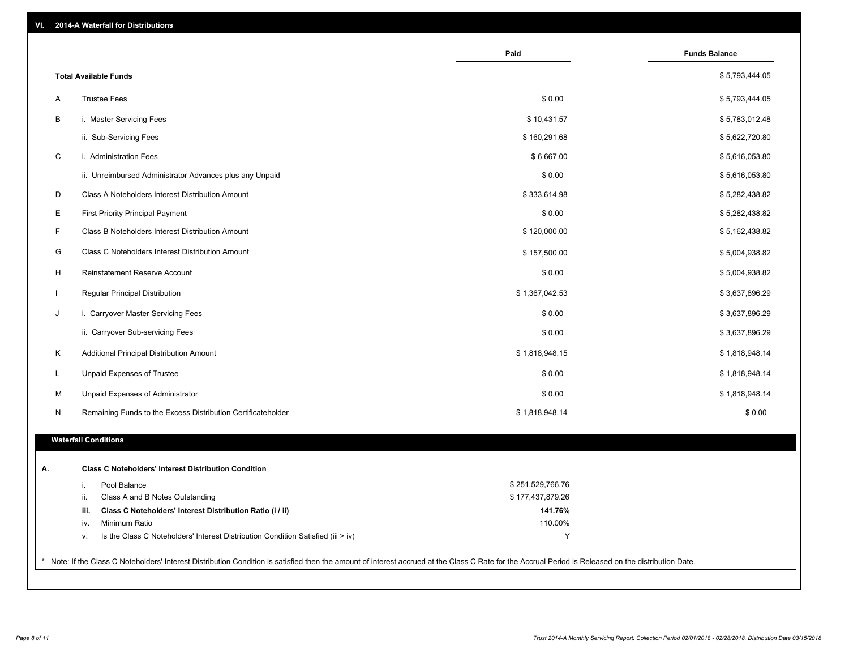| VI. |  | 2014-A Waterfall for Distributions |  |  |  |
|-----|--|------------------------------------|--|--|--|
|-----|--|------------------------------------|--|--|--|

|                                                                                        | Paid             | <b>Funds Balance</b> |
|----------------------------------------------------------------------------------------|------------------|----------------------|
| <b>Total Available Funds</b>                                                           |                  | \$5,793,444.05       |
| <b>Trustee Fees</b><br>Α                                                               | \$0.00           | \$5,793,444.05       |
| В<br>i. Master Servicing Fees                                                          | \$10,431.57      | \$5,783,012.48       |
| ii. Sub-Servicing Fees                                                                 | \$160,291.68     | \$5,622,720.80       |
| C<br>i. Administration Fees                                                            | \$6,667.00       | \$5,616,053.80       |
| ii. Unreimbursed Administrator Advances plus any Unpaid                                | \$0.00           | \$5,616,053.80       |
| D<br>Class A Noteholders Interest Distribution Amount                                  | \$333,614.98     | \$5,282,438.82       |
| Е<br><b>First Priority Principal Payment</b>                                           | \$0.00           | \$5,282,438.82       |
| F<br>Class B Noteholders Interest Distribution Amount                                  | \$120,000.00     | \$5,162,438.82       |
| G<br>Class C Noteholders Interest Distribution Amount                                  | \$157,500.00     | \$5,004,938.82       |
| H<br>Reinstatement Reserve Account                                                     | \$0.00           | \$5,004,938.82       |
| Regular Principal Distribution<br>$\mathbf{I}$                                         | \$1,367,042.53   | \$3,637,896.29       |
| J<br>i. Carryover Master Servicing Fees                                                | \$0.00           | \$3,637,896.29       |
| ii. Carryover Sub-servicing Fees                                                       | \$0.00           | \$3,637,896.29       |
| Κ<br>Additional Principal Distribution Amount                                          | \$1,818,948.15   | \$1,818,948.14       |
| L<br>Unpaid Expenses of Trustee                                                        | \$0.00           | \$1,818,948.14       |
| Unpaid Expenses of Administrator<br>M                                                  | \$0.00           | \$1,818,948.14       |
| N<br>Remaining Funds to the Excess Distribution Certificateholder                      | \$1,818,948.14   | \$0.00               |
| <b>Waterfall Conditions</b>                                                            |                  |                      |
| <b>Class C Noteholders' Interest Distribution Condition</b>                            |                  |                      |
| Pool Balance<br>i.                                                                     | \$251,529,766.76 |                      |
| ii.<br>Class A and B Notes Outstanding                                                 | \$177,437,879.26 |                      |
| Class C Noteholders' Interest Distribution Ratio (i / ii)<br>iii.                      | 141.76%          |                      |
| Minimum Ratio<br>iv.                                                                   | 110.00%          |                      |
| Is the Class C Noteholders' Interest Distribution Condition Satisfied (iii > iv)<br>٧. | Y                |                      |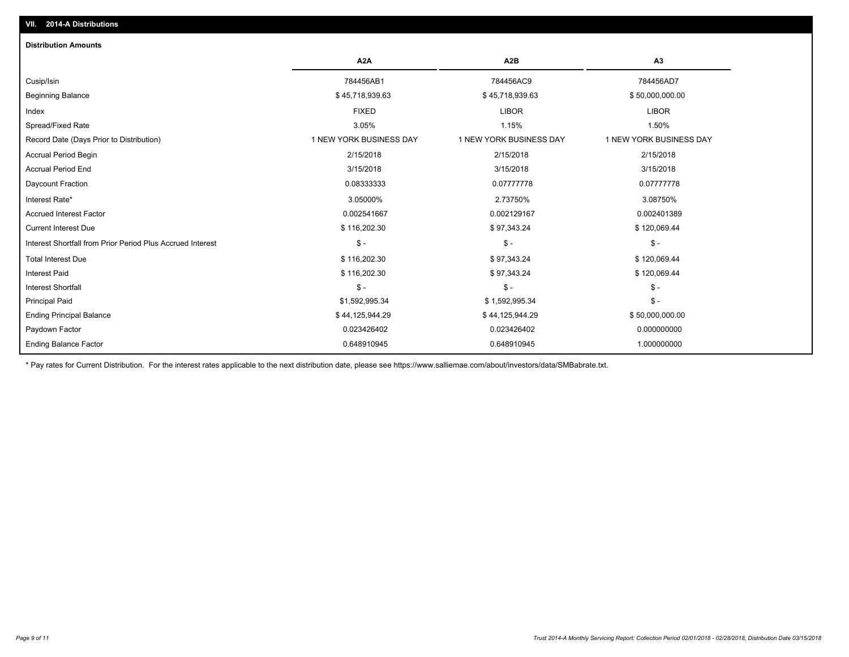| <b>Distribution Amounts</b>                                |                         |                         |                         |
|------------------------------------------------------------|-------------------------|-------------------------|-------------------------|
|                                                            | A <sub>2</sub> A        | A <sub>2</sub> B        | A3                      |
| Cusip/Isin                                                 | 784456AB1               | 784456AC9               | 784456AD7               |
| <b>Beginning Balance</b>                                   | \$45,718,939.63         | \$45,718,939.63         | \$50,000,000.00         |
| Index                                                      | <b>FIXED</b>            | <b>LIBOR</b>            | <b>LIBOR</b>            |
| Spread/Fixed Rate                                          | 3.05%                   | 1.15%                   | 1.50%                   |
| Record Date (Days Prior to Distribution)                   | 1 NEW YORK BUSINESS DAY | 1 NEW YORK BUSINESS DAY | 1 NEW YORK BUSINESS DAY |
| <b>Accrual Period Begin</b>                                | 2/15/2018               | 2/15/2018               | 2/15/2018               |
| <b>Accrual Period End</b>                                  | 3/15/2018               | 3/15/2018               | 3/15/2018               |
| Daycount Fraction                                          | 0.08333333              | 0.07777778              | 0.07777778              |
| Interest Rate*                                             | 3.05000%                | 2.73750%                | 3.08750%                |
| <b>Accrued Interest Factor</b>                             | 0.002541667             | 0.002129167             | 0.002401389             |
| <b>Current Interest Due</b>                                | \$116,202.30            | \$97,343.24             | \$120,069.44            |
| Interest Shortfall from Prior Period Plus Accrued Interest | $S -$                   | $\mathsf{\$}$ -         | $\mathsf{\$}$ -         |
| <b>Total Interest Due</b>                                  | \$116,202.30            | \$97,343.24             | \$120,069.44            |
| <b>Interest Paid</b>                                       | \$116,202.30            | \$97,343.24             | \$120,069.44            |
| <b>Interest Shortfall</b>                                  | $S -$                   | $S -$                   | $\frac{2}{3}$ -         |
| <b>Principal Paid</b>                                      | \$1,592,995.34          | \$1,592,995.34          | $\mathsf{\$}$ -         |
| <b>Ending Principal Balance</b>                            | \$44,125,944.29         | \$44,125,944.29         | \$50,000,000.00         |
| Paydown Factor                                             | 0.023426402             | 0.023426402             | 0.000000000             |
| <b>Ending Balance Factor</b>                               | 0.648910945             | 0.648910945             | 1.000000000             |

\* Pay rates for Current Distribution. For the interest rates applicable to the next distribution date, please see https://www.salliemae.com/about/investors/data/SMBabrate.txt.

**VII. 2014-A Distributions**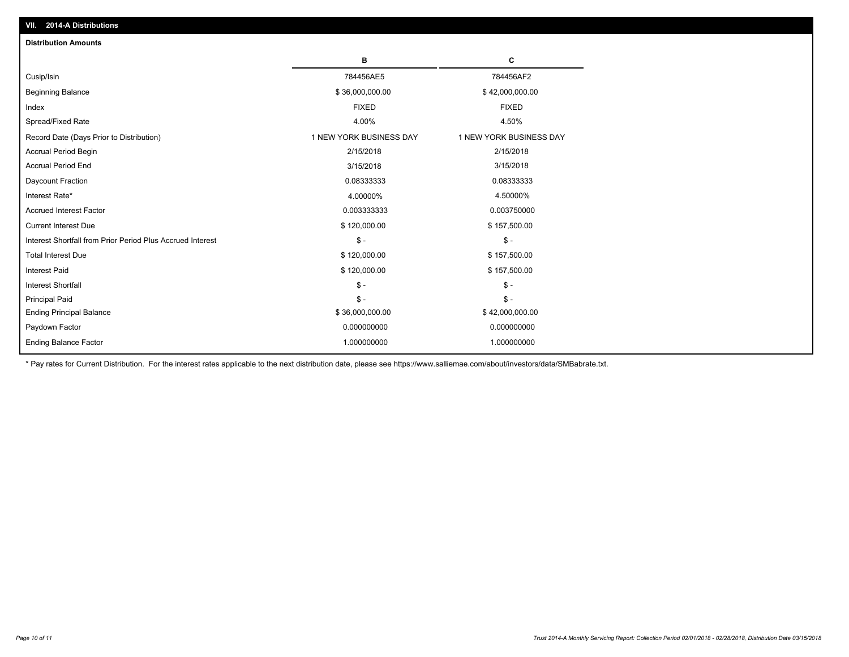| <b>Distribution Amounts</b>                                                                      |
|--------------------------------------------------------------------------------------------------|
| C<br>в                                                                                           |
| 784456AE5<br>784456AF2<br>Cusip/Isin                                                             |
| <b>Beginning Balance</b><br>\$36,000,000.00<br>\$42,000,000.00                                   |
| <b>FIXED</b><br><b>FIXED</b><br>Index                                                            |
| Spread/Fixed Rate<br>4.00%<br>4.50%                                                              |
| 1 NEW YORK BUSINESS DAY<br>1 NEW YORK BUSINESS DAY<br>Record Date (Days Prior to Distribution)   |
| Accrual Period Begin<br>2/15/2018<br>2/15/2018                                                   |
| <b>Accrual Period End</b><br>3/15/2018<br>3/15/2018                                              |
| Daycount Fraction<br>0.08333333<br>0.08333333                                                    |
| 4.00000%<br>4.50000%<br>Interest Rate*                                                           |
| <b>Accrued Interest Factor</b><br>0.003333333<br>0.003750000                                     |
| <b>Current Interest Due</b><br>\$120,000.00<br>\$157,500.00                                      |
| Interest Shortfall from Prior Period Plus Accrued Interest<br>$\mathsf{\$}$ -<br>$\mathsf{\$}$ - |
| <b>Total Interest Due</b><br>\$120,000.00<br>\$157,500.00                                        |
| \$120,000.00<br><b>Interest Paid</b><br>\$157,500.00                                             |
| $\mathcal{S}$ -<br>$\mathsf{\$}$ -<br><b>Interest Shortfall</b>                                  |
| <b>Principal Paid</b><br>$\mathsf{\$}$ -<br>$S -$                                                |
| <b>Ending Principal Balance</b><br>\$36,000,000.00<br>\$42,000,000.00                            |
| 0.000000000<br>0.000000000<br>Paydown Factor                                                     |
| <b>Ending Balance Factor</b><br>1.000000000<br>1.000000000                                       |

\* Pay rates for Current Distribution. For the interest rates applicable to the next distribution date, please see https://www.salliemae.com/about/investors/data/SMBabrate.txt.